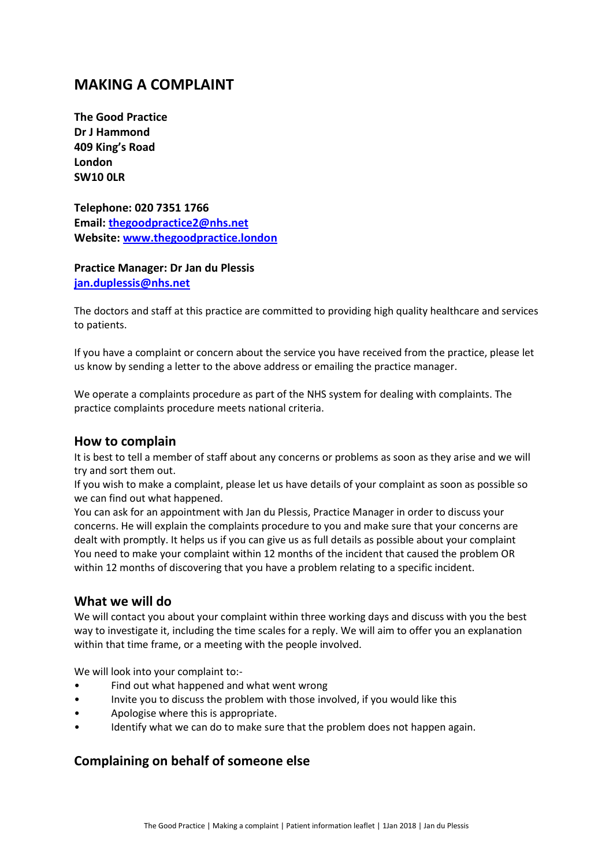# **MAKING A COMPLAINT**

**The Good Practice Dr J Hammond 409 King's Road London SW10 0LR**

**Telephone: 020 7351 1766 Email: [thegoodpractice2@nhs.net](mailto:thegoodpractice2@nhs.net) Website: [www.thegoodpractice.london](http://www.thegoodpractice.london/)**

#### **Practice Manager: Dr Jan du Plessis [jan.duplessis@nhs.net](mailto:jan.duplessis@nhs.net)**

The doctors and staff at this practice are committed to providing high quality healthcare and services to patients.

If you have a complaint or concern about the service you have received from the practice, please let us know by sending a letter to the above address or emailing the practice manager.

We operate a complaints procedure as part of the NHS system for dealing with complaints. The practice complaints procedure meets national criteria.

## **How to complain**

It is best to tell a member of staff about any concerns or problems as soon as they arise and we will try and sort them out.

If you wish to make a complaint, please let us have details of your complaint as soon as possible so we can find out what happened.

You can ask for an appointment with Jan du Plessis, Practice Manager in order to discuss your concerns. He will explain the complaints procedure to you and make sure that your concerns are dealt with promptly. It helps us if you can give us as full details as possible about your complaint You need to make your complaint within 12 months of the incident that caused the problem OR within 12 months of discovering that you have a problem relating to a specific incident.

## **What we will do**

We will contact you about your complaint within three working days and discuss with you the best way to investigate it, including the time scales for a reply. We will aim to offer you an explanation within that time frame, or a meeting with the people involved.

We will look into your complaint to:-

- Find out what happened and what went wrong
- Invite you to discuss the problem with those involved, if you would like this
- Apologise where this is appropriate.
- Identify what we can do to make sure that the problem does not happen again.

## **Complaining on behalf of someone else**